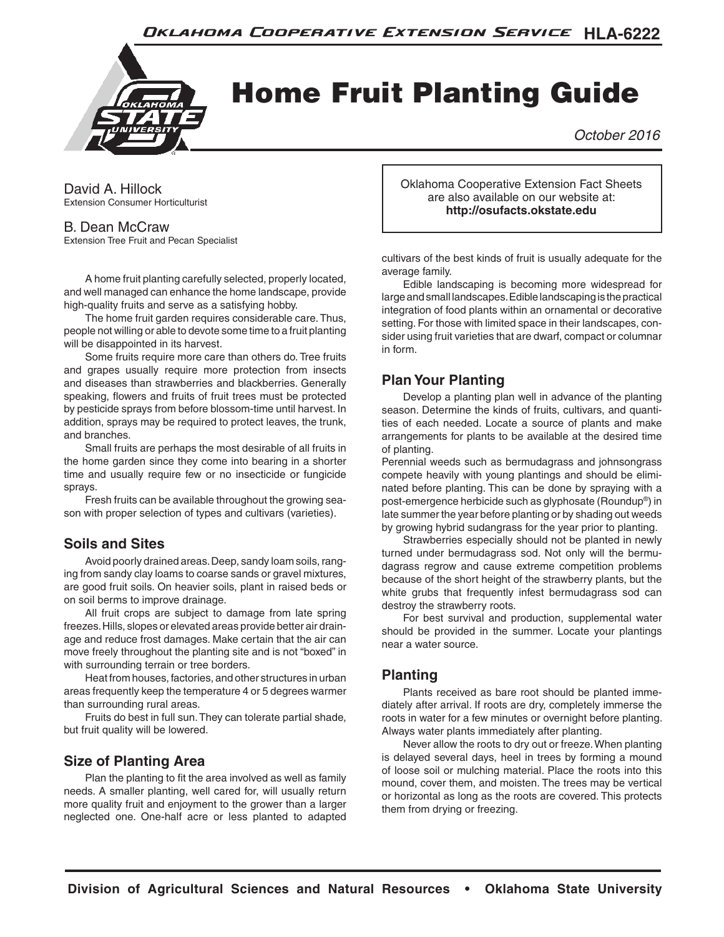

# Home Fruit Planting Guide

*October 2016*

David A. Hillock Extension Consumer Horticulturist

#### B. Dean McCraw

Extension Tree Fruit and Pecan Specialist

 A home fruit planting carefully selected, properly located, and well managed can enhance the home landscape, provide high-quality fruits and serve as a satisfying hobby.

 The home fruit garden requires considerable care. Thus, people not willing or able to devote some time to a fruit planting will be disappointed in its harvest.

 Some fruits require more care than others do. Tree fruits and grapes usually require more protection from insects and diseases than strawberries and blackberries. Generally speaking, flowers and fruits of fruit trees must be protected by pesticide sprays from before blossom-time until harvest. In addition, sprays may be required to protect leaves, the trunk, and branches.

 Small fruits are perhaps the most desirable of all fruits in the home garden since they come into bearing in a shorter time and usually require few or no insecticide or fungicide sprays.

Fresh fruits can be available throughout the growing season with proper selection of types and cultivars (varieties).

# **Soils and Sites**

Avoid poorly drained areas. Deep, sandy loam soils, ranging from sandy clay loams to coarse sands or gravel mixtures, are good fruit soils. On heavier soils, plant in raised beds or on soil berms to improve drainage.

 All fruit crops are subject to damage from late spring freezes. Hills, slopes or elevated areas provide better air drain‑ age and reduce frost damages. Make certain that the air can move freely throughout the planting site and is not "boxed" in with surrounding terrain or tree borders.

 Heat from houses, factories, and other structures in urban areas frequently keep the temperature 4 or 5 degrees warmer than surrounding rural areas.

 Fruits do best in full sun. They can tolerate partial shade, but fruit quality will be lowered.

#### **Size of Planting Area**

 Plan the planting to fit the area involved as well as family needs. A smaller planting, well cared for, will usually return more quality fruit and enjoyment to the grower than a larger neglected one. One‑half acre or less planted to adapted Oklahoma Cooperative Extension Fact Sheets are also available on our website at: **http://osufacts.okstate.edu**

cultivars of the best kinds of fruit is usually adequate for the average family.

Edible landscaping is becoming more widespread for large and small landscapes. Edible landscaping is the practical integration of food plants within an ornamental or decorative setting. For those with limited space in their landscapes, consider using fruit varieties that are dwarf, compact or columnar in form.

## **Plan Your Planting**

 Develop a planting plan well in advance of the planting season. Determine the kinds of fruits, cultivars, and quantities of each needed. Locate a source of plants and make arrangements for plants to be available at the desired time of planting.

Perennial weeds such as bermudagrass and johnsongrass compete heavily with young plantings and should be eliminated before planting. This can be done by spraying with a post-emergence herbicide such as glyphosate (Roundup®) in late summer the year before planting or by shading out weeds by growing hybrid sudangrass for the year prior to planting.

 Strawberries especially should not be planted in newly turned under bermudagrass sod. Not only will the bermudagrass regrow and cause extreme competition problems because of the short height of the strawberry plants, but the white grubs that frequently infest bermudagrass sod can destroy the strawberry roots.

 For best survival and production, supplemental water should be provided in the summer. Locate your plantings near a water source.

#### **Planting**

Plants received as bare root should be planted immediately after arrival. If roots are dry, completely immerse the roots in water for a few minutes or overnight before planting. Always water plants immediately after planting.

 Never allow the roots to dry out or freeze. When planting is delayed several days, heel in trees by forming a mound of loose soil or mulching material. Place the roots into this mound, cover them, and moisten. The trees may be vertical or horizontal as long as the roots are covered. This protects them from drying or freezing.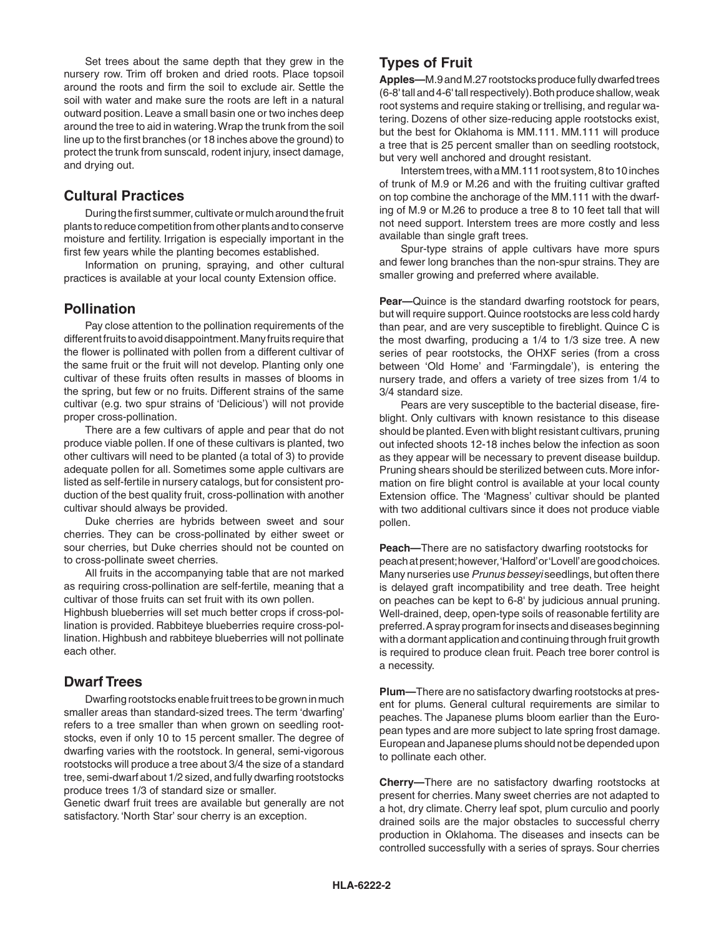Set trees about the same depth that they grew in the nursery row. Trim off broken and dried roots. Place topsoil around the roots and firm the soil to exclude air. Settle the soil with water and make sure the roots are left in a natural outward position. Leave a small basin one or two inches deep around the tree to aid in watering. Wrap the trunk from the soil line up to the first branches (or 18 inches above the ground) to protect the trunk from sunscald, rodent injury, insect damage, and drying out.

#### **Cultural Practices**

 During the first summer, cultivate or mulch around the fruit plants to reduce competition from other plants and to conserve moisture and fertility. Irrigation is especially important in the first few years while the planting becomes established.

 Information on pruning, spraying, and other cultural practices is available at your local county Extension office.

#### **Pollination**

 Pay close attention to the pollination requirements of the different fruits to avoid disappointment. Many fruits require that the flower is pollinated with pollen from a different cultivar of the same fruit or the fruit will not develop. Planting only one cultivar of these fruits often results in masses of blooms in the spring, but few or no fruits. Different strains of the same cultivar (e.g. two spur strains of 'Delicious') will not provide proper cross-pollination.

 There are a few cultivars of apple and pear that do not produce viable pollen. If one of these cultivars is planted, two other cultivars will need to be planted (a total of 3) to provide adequate pollen for all. Sometimes some apple cultivars are listed as self-fertile in nursery catalogs, but for consistent production of the best quality fruit, cross-pollination with another cultivar should always be provided.

 Duke cherries are hybrids between sweet and sour cherries. They can be cross‑pollinated by either sweet or sour cherries, but Duke cherries should not be counted on to cross‑pollinate sweet cherries.

 All fruits in the accompanying table that are not marked as requiring cross-pollination are self-fertile, meaning that a cultivar of those fruits can set fruit with its own pollen.

Highbush blueberries will set much better crops if cross-pollination is provided. Rabbiteye blueberries require cross-pollination. Highbush and rabbiteye blueberries will not pollinate each other.

#### **Dwarf Trees**

 Dwarfing rootstocks enable fruit trees to be grown in much smaller areas than standard-sized trees. The term 'dwarfing' refers to a tree smaller than when grown on seedling rootstocks, even if only 10 to 15 percent smaller. The degree of dwarfing varies with the rootstock. In general, semi‑vigorous rootstocks will produce a tree about 3/4 the size of a standard tree, semi‑dwarf about 1/2 sized, and fully dwarfing rootstocks produce trees 1/3 of standard size or smaller.

Genetic dwarf fruit trees are available but generally are not satisfactory. 'North Star' sour cherry is an exception.

## **Types of Fruit**

**AppIes—**M.9and M.27 rootstocks produce fully dwarfed trees (6‑8' tall and 4‑6' tall respectively). Both produce shallow, weak root systems and require staking or trellising, and regular watering. Dozens of other size-reducing apple rootstocks exist, but the best for Oklahoma is MM.111. MM.111 will produce a tree that is 25 percent smaller than on seedling rootstock, but very well anchored and drought resistant.

 Interstem trees, with a MM.111 root system, 8 to 10 inches of trunk of M.9 or M.26 and with the fruiting cultivar grafted on top combine the anchorage of the MM.111 with the dwarfing of M.9 or M.26 to produce a tree 8 to 10 feet tall that will not need support. Interstem trees are more costly and less available than single graft trees.

Spur-type strains of apple cultivars have more spurs and fewer long branches than the non‑spur strains. They are smaller growing and preferred where available.

**Pear—**Quince is the standard dwarfing rootstock for pears, but will require support. Quince rootstocks are less cold hardy than pear, and are very susceptible to fireblight. Quince C is the most dwarfing, producing a 1/4 to 1/3 size tree. A new series of pear rootstocks, the OHXF series (from a cross between 'Old Home' and 'Farmingdale'), is entering the nursery trade, and offers a variety of tree sizes from 1/4 to 3/4 standard size.

Pears are very susceptible to the bacterial disease, fireblight. Only cultivars with known resistance to this disease should be planted. Even with blight resistant cultivars, pruning out infected shoots 12‑18 inches below the infection as soon as they appear will be necessary to prevent disease buildup. Pruning shears should be sterilized between cuts. More information on fire blight control is available at your local county Extension office. The 'Magness' cultivar should be planted with two additional cultivars since it does not produce viable pollen.

**Peach—**There are no satisfactory dwarfing rootstocks for peach at present; however, 'Halford' or 'Lovell' are good choices. Many nurseries use *Prunus besseyi* seedlings, but often there is delayed graft incompatibility and tree death. Tree height on peaches can be kept to 6‑8' by judicious annual pruning. Well-drained, deep, open-type soils of reasonable fertility are preferred. A spray program for insects and diseases beginning with a dormant application and continuing through fruit growth is required to produce clean fruit. Peach tree borer control is a necessity.

**Plum—**There are no satisfactory dwarfing rootstocks at pres‑ ent for plums. General cultural requirements are similar to peaches. The Japanese plums bloom earlier than the European types and are more subject to late spring frost damage. European and Japanese plums should not be depended upon to pollinate each other.

**Cherry—**There are no satisfactory dwarfing rootstocks at present for cherries. Many sweet cherries are not adapted to a hot, dry climate. Cherry leaf spot, plum curculio and poorly drained soils are the major obstacles to successful cherry production in Oklahoma. The diseases and insects can be controlled successfully with a series of sprays. Sour cherries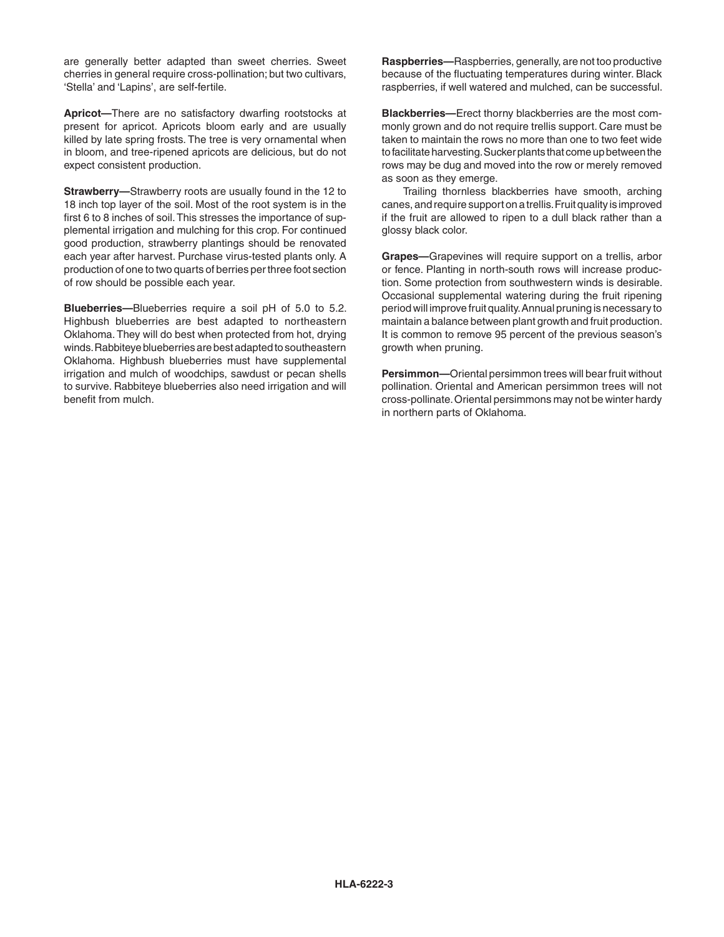are generally better adapted than sweet cherries. Sweet cherries in general require cross‑pollination; but two cultivars, 'Stella' and 'Lapins', are self‑fertile.

**Apricot—**There are no satisfactory dwarfing rootstocks at present for apricot. Apricots bloom early and are usually killed by late spring frosts. The tree is very ornamental when in bloom, and tree-ripened apricots are delicious, but do not expect consistent production.

**Strawberry—**Strawberry roots are usually found in the 12 to 18 inch top layer of the soil. Most of the root system is in the first 6 to 8 inches of soil. This stresses the importance of supplemental irrigation and mulching for this crop. For continued good production, strawberry plantings should be renovated each year after harvest. Purchase virus-tested plants only. A production of one to two quarts of berries per three foot section of row should be possible each year.

**Blueberries—**Blueberries require a soil pH of 5.0 to 5.2. Highbush blueberries are best adapted to northeastern Oklahoma. They will do best when protected from hot, drying winds. Rabbiteye blueberries are best adapted to southeastern Oklahoma. Highbush blueberries must have supplemental irrigation and mulch of woodchips, sawdust or pecan shells to survive. Rabbiteye blueberries also need irrigation and will benefit from mulch.

**Raspberries—**Raspberries, generally, are not too productive because of the fluctuating temperatures during winter. Black raspberries, if well watered and mulched, can be successful.

**Blackberries—**Erect thorny blackberries are the most com‑ monly grown and do not require trellis support. Care must be taken to maintain the rows no more than one to two feet wide to facilitate harvesting. Sucker plants that come up between the rows may be dug and moved into the row or merely removed as soon as they emerge.

 Trailing thornless blackberries have smooth, arching canes, and require support on a trellis. Fruit quality is improved if the fruit are allowed to ripen to a dull black rather than a glossy black color.

**Grapes—**Grapevines will require support on a trellis, arbor or fence. Planting in north-south rows will increase production. Some protection from southwestern winds is desirable. Occasional supplemental watering during the fruit ripening period will improve fruit quality. Annual pruning is necessary to maintain a balance between plant growth and fruit production. It is common to remove 95 percent of the previous season's growth when pruning.

**Persimmon—**Oriental persimmon trees will bear fruit without pollination. Oriental and American persimmon trees will not cross-pollinate. Oriental persimmons may not be winter hardy in northern parts of Oklahoma.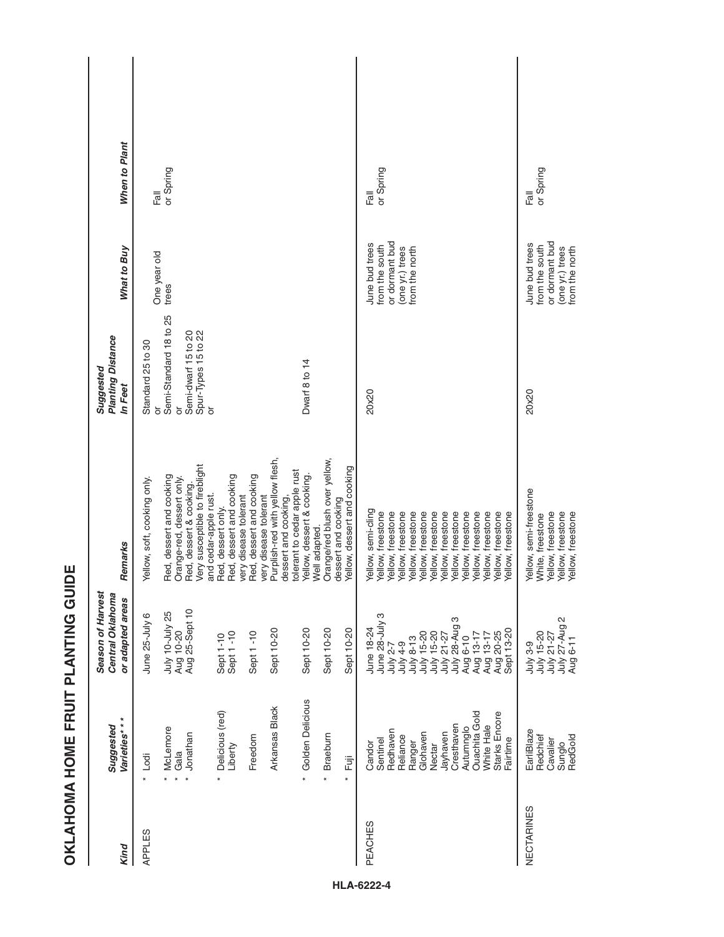| Kind          | Varieties***<br>Suggested                                                                                                                                                            | Season of Harvest<br>Central Oklahoma<br>or adapted areas                                                                                                                                     | Remarks                                                                                                                                                                                                                                                                                                                                                                                                                                                                                                                                     | Planting Distance<br>Suggested<br>In Feet                                                                            | What to Buy                                                                             | When to Plant             |
|---------------|--------------------------------------------------------------------------------------------------------------------------------------------------------------------------------------|-----------------------------------------------------------------------------------------------------------------------------------------------------------------------------------------------|---------------------------------------------------------------------------------------------------------------------------------------------------------------------------------------------------------------------------------------------------------------------------------------------------------------------------------------------------------------------------------------------------------------------------------------------------------------------------------------------------------------------------------------------|----------------------------------------------------------------------------------------------------------------------|-----------------------------------------------------------------------------------------|---------------------------|
| <b>APPLES</b> | * Golden Delicious<br>Arkansas Black<br>Delicious (red)<br>McLemore<br>Jonathan<br>Braeburn<br>Freedom<br>Liberty<br>Gala<br>Lodi<br>Ēij<br>$\ast$<br>$\ast$<br>$\ast$<br>×          | July 10-July 25<br>Aug 10-20<br>Aug 25-Sept 10<br>June 25-July 6<br>Sept 10-20<br>Sept 10-20<br>Sept 10-20<br>Sept 10-20<br>Sept 1-10<br>Sept 1-10<br>Sept 1-10                               | Purplish-red with yellow flesh,<br>Orange/red blush over yellow,<br>Very susceptible to fireblight<br>Yellow, dessert and cooking<br>tolerant to cedar apple rust<br>Red, dessert and cooking<br>Red, dessert and cooking<br>Red, dessert and cooking<br>Yellow, dessert & cooking.<br>Orange-red, dessert only.<br>Yellow, soft, cooking only.<br>Red, dessert & cooking.<br>very disease tolerant<br>very disease tolerant<br>and cedar-apple rust.<br>dessert and cooking,<br>dessert and cooking<br>Red, dessert only.<br>Well adapted. | Semi-Standard 18 to 25<br>Spur-Types 15 to 22<br>Semi-dwarf 15 to 20<br>Standard 25 to 30<br>Dwarf 8 to 14<br>ŏ<br>ŏ | One year old<br>trees                                                                   | or Spring<br><b>Trail</b> |
| PEACHES       | <b>Ouachita</b> Gold<br>Starks Encore<br>White Hale<br>Cresthaven<br>Autumnglo<br>Redhaven<br>Jayhaven<br>Glohaven<br>Reliance<br>Sentinel<br>Fairtime<br>Ranger<br>Candor<br>Nectar | June 28-July 3<br>July 21-27<br>July 28-Aug 3<br>June 18-24<br>Aug 20-25<br>Sept 13-20<br>July 15-20<br>July 15-20<br>Aug 13-17<br>Aug 13-17<br>Aug 6-10<br>July 8-13<br>July 4-9<br>July 2-7 | Yellow, semi-cling<br>Yellow, freestone<br>Yellow, freestone<br>Yellow, freestone<br>Yellow, freestone<br>Yellow, freestone<br>Yellow, freestone<br>Yellow, freestone<br>Yellow, freestone<br>Yellow, freestone<br>Yellow, freestone<br>Yellow, freestone<br>Yellow, freestone<br>Yellow, freestone                                                                                                                                                                                                                                         | 20x20                                                                                                                | or dormant bud<br>June bud trees<br>from the south<br>(one yr.) trees<br>from the north | or Spring<br>高            |
| NECTARINES    | EarliBlaze<br>RedGold<br>Redchief<br>Cavalier<br>Sunglo                                                                                                                              | July 27-Aug 2<br>Aug 6-11<br>July 3-9<br>July 15-20<br>July 21-27                                                                                                                             | Yellow, semi-freestone<br>Yellow, freestone<br>Yellow, freestone<br>Yellow, freestone<br>White, freestone                                                                                                                                                                                                                                                                                                                                                                                                                                   | 20x20                                                                                                                | or dormant bud<br>June bud trees<br>from the south<br>(one yr.) trees<br>from the north | or Spring<br>高            |

**OKLAHOMA HOME FRUIT PLANTING GUIDE**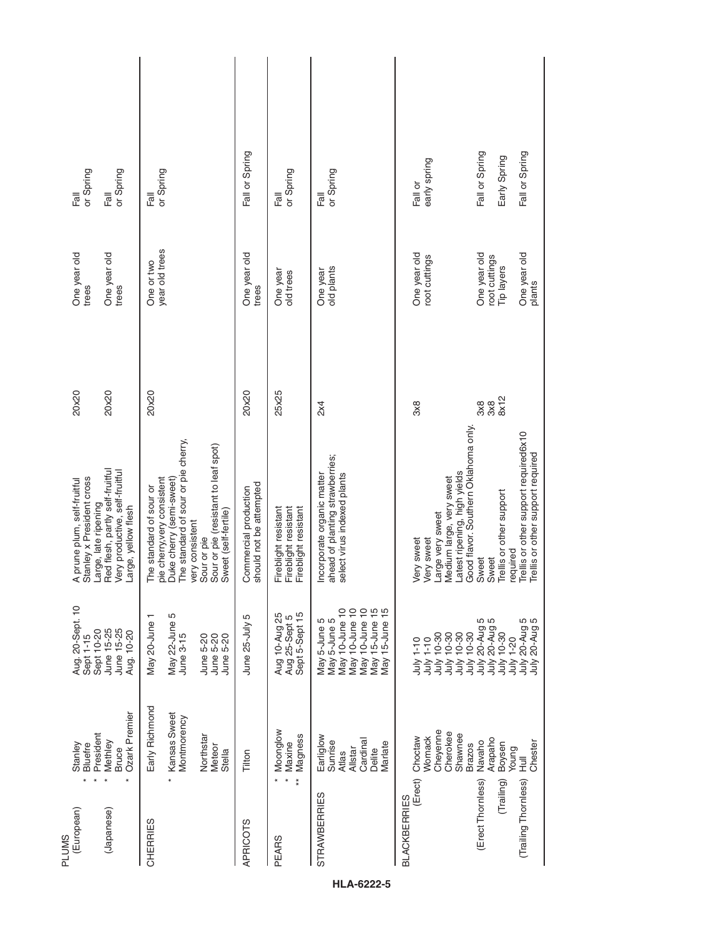| (European)<br><b>PLUMS</b>     | President<br>Stanley<br><b>Bluefre</b><br>$\star$                                        | Aug. 20-Sept. 10<br>Sept 10-20<br>Sept 1-15                                                                            | Stanley x President cross<br>A prune plum, self-fruitful                                                                                                                                                                    | 20x20                                   | One year old<br>trees                       | or Spring<br>$F\overline{a}$ ll                   |
|--------------------------------|------------------------------------------------------------------------------------------|------------------------------------------------------------------------------------------------------------------------|-----------------------------------------------------------------------------------------------------------------------------------------------------------------------------------------------------------------------------|-----------------------------------------|---------------------------------------------|---------------------------------------------------|
| (Japanese)                     | Ozark Premier<br>Methley<br>Bruce<br>$\ast$                                              | June 15-25<br>June 15-25<br>Aug. 10-20                                                                                 | Red flesh, partly self-fruitful<br>Very productive, self-fruitful<br>Large, late ripening<br>Large, yellow flesh                                                                                                            | 20x20                                   | One year old<br>trees                       | or Spring<br>Fall                                 |
| CHERRIES                       | Early Richmond<br>Kansas Sweet<br>Montmorency<br>Northstar<br>Meteor<br>Stella<br>$\ast$ | May 22-June 5<br>May 20-June 1<br>June 5-20<br>June 3-15<br>June 5-20<br>June 5-20                                     | The standard of sour or pie cherry,<br>Sour or pie (resistant to leaf spot)<br>pie cherry, very consistent<br>Duke cherry (semi-sweet)<br>The standard of sour or<br>Sweet (self-fertile)<br>very consistent<br>Sour or pie | 20x20                                   | year old trees<br>One or two                | or Spring<br>$\overline{\overline{\overline{a}}}$ |
| <b>APRICOTS</b>                | Tilton                                                                                   | June 25-July 5                                                                                                         | should not be attempted<br>Commercial production                                                                                                                                                                            | 20x20                                   | One year old<br>trees                       | Fall or Spring                                    |
| $*$<br>PEARS                   | Moonglow<br>Magness<br>Maxine<br>$\ast$                                                  | Sept 5-Sept 15<br>Aug 10-Aug 25<br>Aug 25-Sept 5                                                                       | Fireblight resistant<br>Fireblight resistant<br>Fireblight resistant                                                                                                                                                        | 25x25                                   | One year<br>old trees                       | or Spring<br>Fall                                 |
| <b>STRAWBERRIES</b>            | Earliglow<br>Cardinal<br>Sunrise<br>Marlate<br>Allstar<br>Delite<br>Atlas                | May 10-June 10<br>May 15-June 15<br>May 15-June 15<br>May 10-June 10<br>May 10-June 10<br>May 5-June 5<br>May 5-June 5 | ahead of planting strawberries;<br>Incorporate organic matter<br>select virus indexed plants                                                                                                                                | 2x4                                     | old plants<br>One year                      | or Spring<br>Fall                                 |
| (Erect)<br><b>BLACKBERRIES</b> | Cheyenne<br>Cherokee<br>Shawnee<br><b>Womack</b><br>Choctaw<br><b>Brazos</b>             | $10 - 30$<br>$10 - 30$<br>$10 - 30$<br>July 10-30<br>July 1-10<br>$1 - 10$<br>July<br>July -<br>July<br>July           | Latest ripening, high yields<br>Good flavor. Southern Oklahoma only.<br>Medium large, very sweet<br>Large very sweet<br>Very sweet<br>Very sweet                                                                            | $3\times8$                              | One year old<br>root cuttings               | early spring<br>Fall or                           |
| (Erect Thomless)<br>(Trailing) | Arapaho<br>Navaho<br>Boysen<br>Young                                                     | 20-Aug 5<br>20-Aug 5<br>20-Aug<br>$10 - 30$<br>$1 - 20$<br>July:<br>July<br>yinr<br>July                               | Trellis or other support<br>required<br>Sweet<br>Sweet                                                                                                                                                                      | $3\times8$<br>$8\times12$<br>$3\times8$ | One year old<br>root cuttings<br>Tip layers | Fall or Spring<br>Early Spring                    |
| (Trailing Thornless)           | Chester<br>Hull                                                                          | July 20-Aug 5<br>July 20-Aug 5                                                                                         | Trellis or other support required6x10<br>Trellis or other support required                                                                                                                                                  |                                         | One year old<br>plants                      | Fall or Spring                                    |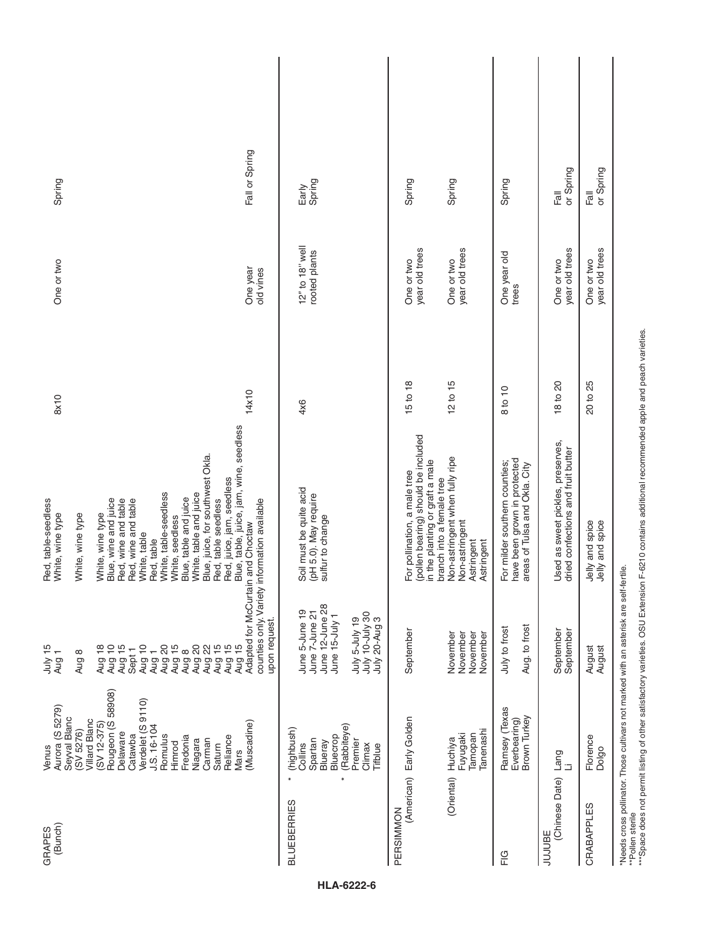| (Bunch)<br>GRAPES            | Aurora (S 5279)<br>Venus                                                                                   | July 15<br>Aug <sub>1</sub>                        | Red, table-seedless<br>White, wine type                                                             | 8x10     | One or two                   | Spring            |
|------------------------------|------------------------------------------------------------------------------------------------------------|----------------------------------------------------|-----------------------------------------------------------------------------------------------------|----------|------------------------------|-------------------|
|                              | Seyval Blanc<br>Villard Blanc<br>(SV 5276)                                                                 | Aug 8                                              | White, wine type                                                                                    |          |                              |                   |
|                              | $(SV 12-375)$                                                                                              | Aug 18                                             | White, wine type                                                                                    |          |                              |                   |
|                              | Rougeon (S 58908)                                                                                          | Aug 10                                             | Blue, wine and juice                                                                                |          |                              |                   |
|                              | Delaware<br>Catawba                                                                                        | Aug 15<br>Sept <sub>1</sub>                        | Red, wine and table<br>Red, wine and table                                                          |          |                              |                   |
|                              | Verdelet (S 9110)                                                                                          | Aug 10                                             | White, table                                                                                        |          |                              |                   |
|                              | $J.S. 16 - 104$                                                                                            | Aug 1                                              | Red, table                                                                                          |          |                              |                   |
|                              | Romulus                                                                                                    | Aug 20                                             | White, table-seedless                                                                               |          |                              |                   |
|                              | Fredonia<br>Himrod                                                                                         | Aug 15<br>Aug 8                                    | Blue, table and juice<br>White, seedless                                                            |          |                              |                   |
|                              | Niagara                                                                                                    | Aug 20                                             | White. table and juice                                                                              |          |                              |                   |
|                              | Carman                                                                                                     | Aug 22                                             |                                                                                                     |          |                              |                   |
|                              | Saturn                                                                                                     | Aug 15                                             | Blue, juice, for southwest Okla.<br>Red, table seedless                                             |          |                              |                   |
|                              | Reliance                                                                                                   | Aug 15                                             | Red, juice, jam, seedless                                                                           |          |                              |                   |
|                              | Mars                                                                                                       | Aug 15                                             | Blue, table, juice, jam, wine, seedless                                                             |          |                              |                   |
|                              | (Muscadine)                                                                                                | Adapted for McCurtain and Choctaw<br>upon request. | counties only. Variety information available                                                        | 14x10    | One year<br>old vines        | Fall or Spring    |
| $\ast$<br><b>BLUEBERRIES</b> | (highbush)                                                                                                 |                                                    |                                                                                                     |          |                              |                   |
|                              | Collins                                                                                                    | June 5-June 19                                     | Soil must be quite acid                                                                             | 4x6      | 12" to 18" well              | Early             |
|                              | Spartan                                                                                                    | June 7-June 21                                     | (pH 5.0). May require                                                                               |          | rooted plants                | Spring            |
|                              | Bluecrop<br>Blueray                                                                                        | June 12-June 28<br>June 15-July 1                  | sulfur to change                                                                                    |          |                              |                   |
| $\ast$                       | (Rabbiteye)                                                                                                |                                                    |                                                                                                     |          |                              |                   |
|                              | Premier<br>Climax                                                                                          | July 10-July 30<br>July 20-Aug 3<br>July 5-July 19 |                                                                                                     |          |                              |                   |
|                              | Tifblue                                                                                                    |                                                    |                                                                                                     |          |                              |                   |
| PERSIMMON                    | (American) Early Golden                                                                                    | September                                          | For pollination, a male tree                                                                        | 15 to 18 | One or two                   | Spring            |
|                              |                                                                                                            |                                                    | (pollen bearing) should be included<br>in the planting or graft a male<br>branch into a female tree |          | year old trees               |                   |
| (Oriental)                   | Huchiya                                                                                                    | November                                           | Non-astringent when fully ripe                                                                      | 12 to 15 | One or two                   | Spring            |
|                              | Fuyugaki                                                                                                   | November                                           | Non-astringent                                                                                      |          | year old trees               |                   |
|                              | Tanenashi<br>Tamopan                                                                                       | November<br>November                               | Astringent<br>Astringent                                                                            |          |                              |                   |
| $\frac{G}{L}$                | Ramsey (Texas<br>Everbearing)                                                                              | July to frost                                      | For milder southern counties;                                                                       | 8 to 10  | One year old                 | Spring            |
|                              | Brown Turkey                                                                                               | Aug. to frost                                      | have been grown in protected<br>areas of Tulsa and Okla. City                                       |          | trees                        |                   |
| <b>JUJUBE</b>                |                                                                                                            |                                                    |                                                                                                     |          |                              |                   |
| (Chinese Date)               | Lang                                                                                                       | September<br>September                             | Used as sweet pickles, preserves,<br>dried confections and fruit butter                             | 18 to 20 | year old trees<br>One or two | or Spring<br>Fall |
| CRABAPPLES                   | Florence<br>Dolgo                                                                                          | August<br>August                                   | Jelly and spice<br>Jelly and spice                                                                  | 20 to 25 | year old trees<br>One or two | Fall<br>or Spring |
|                              | *Needs cross pollinator. Those cultivars not marked with an asterisk are self-fertile.<br>**Pollen sterile |                                                    |                                                                                                     |          |                              |                   |
|                              |                                                                                                            |                                                    |                                                                                                     |          |                              |                   |

\*\*Pollen sterile<br>\*\*\*Space does not permit listing of other satisfactory varieties. OSU Extension F-6210 contains additional recommended apple and peach varieties.<br>\*\*\*Space does not permit listing of other satisfactory vari

\*\*\*Space does not permit listing of other satisfactory varieties. OSU Extension F-6210 contains additional recommended apple and peach varieties.